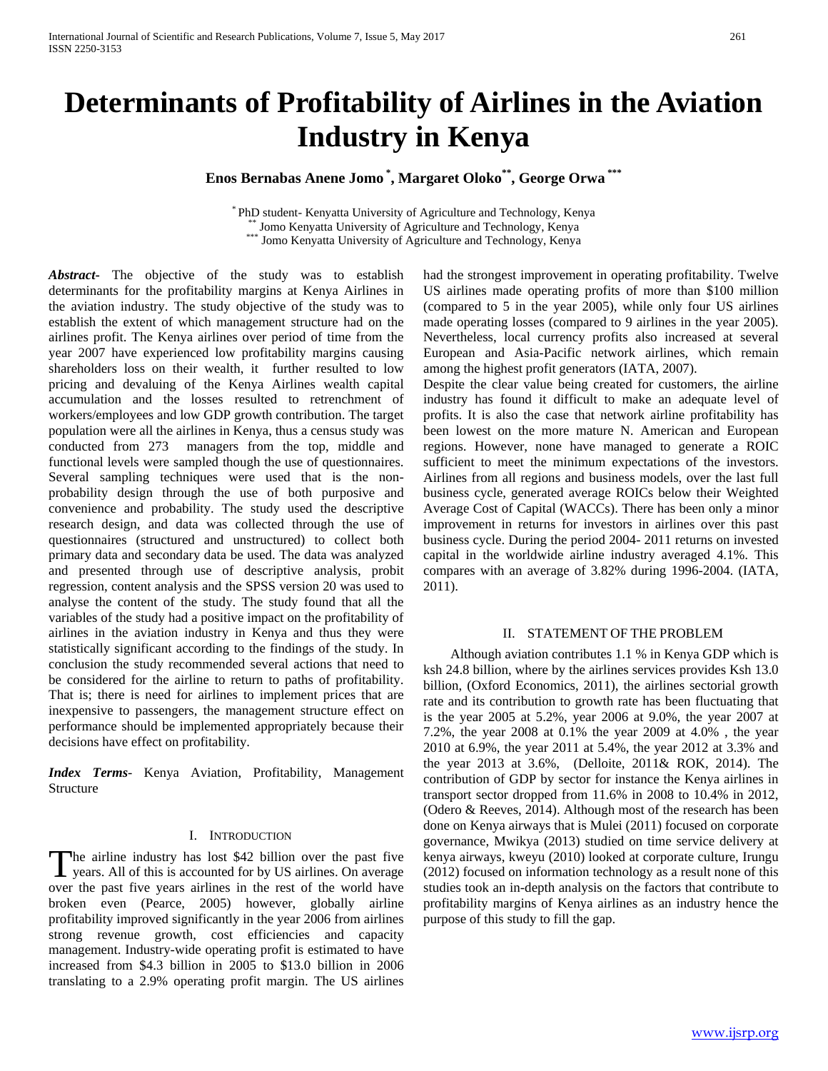# **Determinants of Profitability of Airlines in the Aviation Industry in Kenya**

**Enos Bernabas Anene Jomo \* , Margaret Oloko\*\*, George Orwa \*\*\***

\* PhD student- Kenyatta University of Agriculture and Technology, Kenya \*\* Jomo Kenyatta University of Agriculture and Technology, Kenya \*\*\* Jomo Kenyatta University of Agriculture and Technology, Kenya

*Abstract***-** The objective of the study was to establish determinants for the profitability margins at Kenya Airlines in the aviation industry. The study objective of the study was to establish the extent of which management structure had on the airlines profit. The Kenya airlines over period of time from the year 2007 have experienced low profitability margins causing shareholders loss on their wealth, it further resulted to low pricing and devaluing of the Kenya Airlines wealth capital accumulation and the losses resulted to retrenchment of workers/employees and low GDP growth contribution. The target population were all the airlines in Kenya, thus a census study was conducted from 273 managers from the top, middle and functional levels were sampled though the use of questionnaires. Several sampling techniques were used that is the nonprobability design through the use of both purposive and convenience and probability. The study used the descriptive research design, and data was collected through the use of questionnaires (structured and unstructured) to collect both primary data and secondary data be used. The data was analyzed and presented through use of descriptive analysis, probit regression, content analysis and the SPSS version 20 was used to analyse the content of the study. The study found that all the variables of the study had a positive impact on the profitability of airlines in the aviation industry in Kenya and thus they were statistically significant according to the findings of the study. In conclusion the study recommended several actions that need to be considered for the airline to return to paths of profitability. That is; there is need for airlines to implement prices that are inexpensive to passengers, the management structure effect on performance should be implemented appropriately because their decisions have effect on profitability.

*Index Terms*- Kenya Aviation, Profitability, Management Structure

# I. INTRODUCTION

he airline industry has lost \$42 billion over the past five The airline industry has lost \$42 billion over the past five years. All of this is accounted for by US airlines. On average over the past five years airlines in the rest of the world have broken even (Pearce, 2005) however, globally airline profitability improved significantly in the year 2006 from airlines strong revenue growth, cost efficiencies and capacity management. Industry-wide operating profit is estimated to have increased from \$4.3 billion in 2005 to \$13.0 billion in 2006 translating to a 2.9% operating profit margin. The US airlines

had the strongest improvement in operating profitability. Twelve US airlines made operating profits of more than \$100 million (compared to 5 in the year 2005), while only four US airlines made operating losses (compared to 9 airlines in the year 2005). Nevertheless, local currency profits also increased at several European and Asia-Pacific network airlines, which remain among the highest profit generators (IATA, 2007).

Despite the clear value being created for customers, the airline industry has found it difficult to make an adequate level of profits. It is also the case that network airline profitability has been lowest on the more mature N. American and European regions. However, none have managed to generate a ROIC sufficient to meet the minimum expectations of the investors. Airlines from all regions and business models, over the last full business cycle, generated average ROICs below their Weighted Average Cost of Capital (WACCs). There has been only a minor improvement in returns for investors in airlines over this past business cycle. During the period 2004- 2011 returns on invested capital in the worldwide airline industry averaged 4.1%. This compares with an average of 3.82% during 1996-2004. (IATA, 2011).

# II. STATEMENT OF THE PROBLEM

 Although aviation contributes 1.1 % in Kenya GDP which is ksh 24.8 billion, where by the airlines services provides Ksh 13.0 billion, (Oxford Economics, 2011), the airlines sectorial growth rate and its contribution to growth rate has been fluctuating that is the year 2005 at 5.2%, year 2006 at 9.0%, the year 2007 at 7.2%, the year 2008 at 0.1% the year 2009 at 4.0% , the year 2010 at 6.9%, the year 2011 at 5.4%, the year 2012 at 3.3% and the year 2013 at 3.6%, (Delloite, 2011& ROK, 2014). The contribution of GDP by sector for instance the Kenya airlines in transport sector dropped from 11.6% in 2008 to 10.4% in 2012, (Odero & Reeves, 2014). Although most of the research has been done on Kenya airways that is Mulei (2011) focused on corporate governance, Mwikya (2013) studied on time service delivery at kenya airways, kweyu (2010) looked at corporate culture, Irungu (2012) focused on information technology as a result none of this studies took an in-depth analysis on the factors that contribute to profitability margins of Kenya airlines as an industry hence the purpose of this study to fill the gap.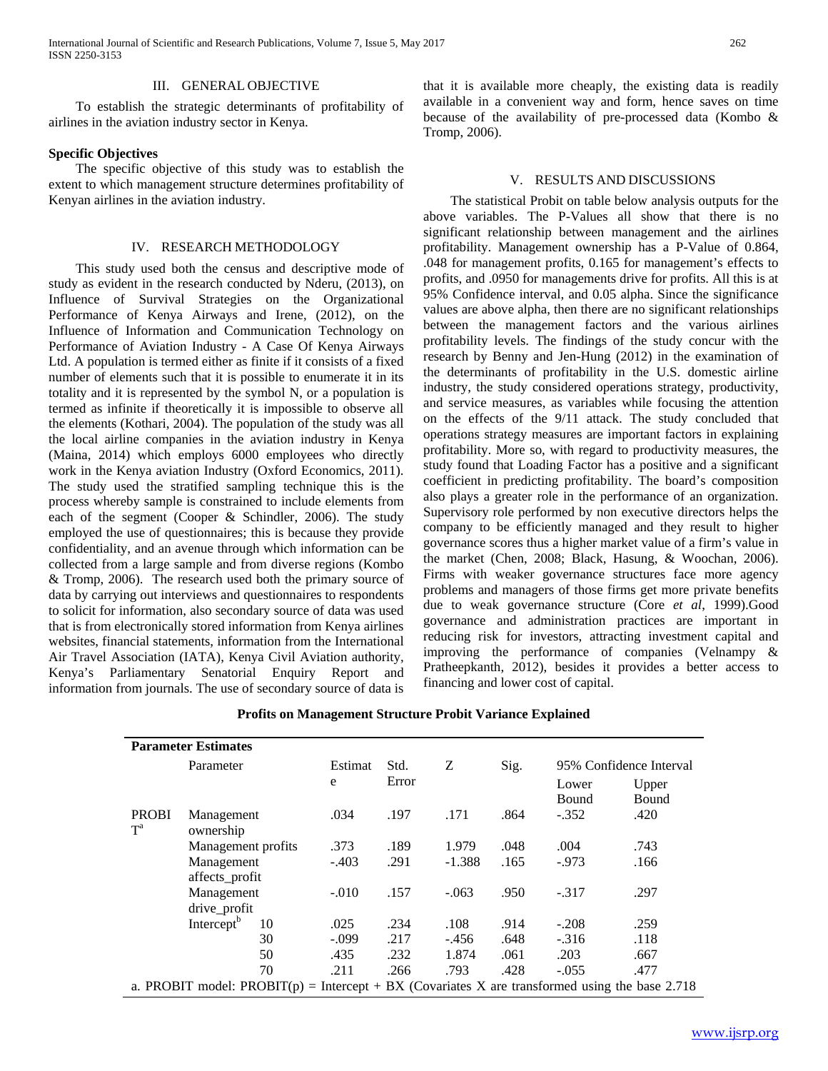International Journal of Scientific and Research Publications, Volume 7, Issue 5, May 2017 262 ISSN 2250-3153

### III. GENERAL OBJECTIVE

 To establish the strategic determinants of profitability of airlines in the aviation industry sector in Kenya.

#### **Specific Objectives**

 The specific objective of this study was to establish the extent to which management structure determines profitability of Kenyan airlines in the aviation industry.

#### IV. RESEARCH METHODOLOGY

 This study used both the census and descriptive mode of study as evident in the research conducted by Nderu, (2013), on Influence of Survival Strategies on the Organizational Performance of Kenya Airways and Irene, (2012), on the Influence of Information and Communication Technology on Performance of Aviation Industry - A Case Of Kenya Airways Ltd. A population is termed either as finite if it consists of a fixed number of elements such that it is possible to enumerate it in its totality and it is represented by the symbol N, or a population is termed as infinite if theoretically it is impossible to observe all the elements (Kothari, 2004). The population of the study was all the local airline companies in the aviation industry in Kenya (Maina, 2014) which employs 6000 employees who directly work in the Kenya aviation Industry (Oxford Economics, 2011). The study used the stratified sampling technique this is the process whereby sample is constrained to include elements from each of the segment (Cooper & Schindler, 2006). The study employed the use of questionnaires; this is because they provide confidentiality, and an avenue through which information can be collected from a large sample and from diverse regions (Kombo & Tromp, 2006). The research used both the primary source of data by carrying out interviews and questionnaires to respondents to solicit for information, also secondary source of data was used that is from electronically stored information from Kenya airlines websites, financial statements, information from the International Air Travel Association (IATA), Kenya Civil Aviation authority, Kenya's Parliamentary Senatorial Enquiry Report and information from journals. The use of secondary source of data is

that it is available more cheaply, the existing data is readily available in a convenient way and form, hence saves on time because of the availability of pre-processed data (Kombo & Tromp, 2006).

#### V. RESULTS AND DISCUSSIONS

 The statistical Probit on table below analysis outputs for the above variables. The P-Values all show that there is no significant relationship between management and the airlines profitability. Management ownership has a P-Value of 0.864, .048 for management profits, 0.165 for management's effects to profits, and .0950 for managements drive for profits. All this is at 95% Confidence interval, and 0.05 alpha. Since the significance values are above alpha, then there are no significant relationships between the management factors and the various airlines profitability levels. The findings of the study concur with the research by Benny and Jen-Hung (2012) in the examination of the determinants of profitability in the U.S. domestic airline industry, the study considered operations strategy, productivity, and service measures, as variables while focusing the attention on the effects of the 9/11 attack. The study concluded that operations strategy measures are important factors in explaining profitability. More so, with regard to productivity measures, the study found that Loading Factor has a positive and a significant coefficient in predicting profitability. The board's composition also plays a greater role in the performance of an organization. Supervisory role performed by non executive directors helps the company to be efficiently managed and they result to higher governance scores thus a higher market value of a firm's value in the market (Chen, 2008; Black, Hasung, & Woochan, 2006). Firms with weaker governance structures face more agency problems and managers of those firms get more private benefits due to weak governance structure (Core *et al*, 1999).Good governance and administration practices are important in reducing risk for investors, attracting investment capital and improving the performance of companies (Velnampy & Pratheepkanth, 2012), besides it provides a better access to financing and lower cost of capital.

| <b>Parameter Estimates</b>                                                                     |                         |    |              |               |          |      |                                           |                |
|------------------------------------------------------------------------------------------------|-------------------------|----|--------------|---------------|----------|------|-------------------------------------------|----------------|
|                                                                                                | Parameter               |    | Estimat<br>e | Std.<br>Error | Z        | Sig. | 95% Confidence Interval<br>Lower<br>Bound | Upper<br>Bound |
| <b>PROBI</b><br>$T^a$                                                                          | Management<br>ownership |    | .034         | .197          | .171     | .864 | $-.352$                                   | .420           |
|                                                                                                | Management profits      |    | .373         | .189          | 1.979    | .048 | .004                                      | .743           |
|                                                                                                | Management              |    | $-.403$      | .291          | $-1.388$ | .165 | $-.973$                                   | .166           |
|                                                                                                | affects_profit          |    |              |               |          |      |                                           |                |
|                                                                                                | Management              |    | $-.010$      | .157          | $-.063$  | .950 | $-.317$                                   | .297           |
|                                                                                                | drive_profit            |    |              |               |          |      |                                           |                |
|                                                                                                | Intercept <sup>b</sup>  | 10 | .025         | .234          | .108     | .914 | $-.208$                                   | .259           |
|                                                                                                |                         | 30 | $-.099$      | .217          | $-.456$  | .648 | $-.316$                                   | .118           |
|                                                                                                |                         | 50 | .435         | .232          | 1.874    | .061 | .203                                      | .667           |
|                                                                                                |                         | 70 | .211         | .266          | .793     | .428 | $-.055$                                   | .477           |
| a. PROBIT model: PROBIT(p) = Intercept + BX (Covariates X are transformed using the base 2.718 |                         |    |              |               |          |      |                                           |                |

# **Profits on Management Structure Probit Variance Explained**